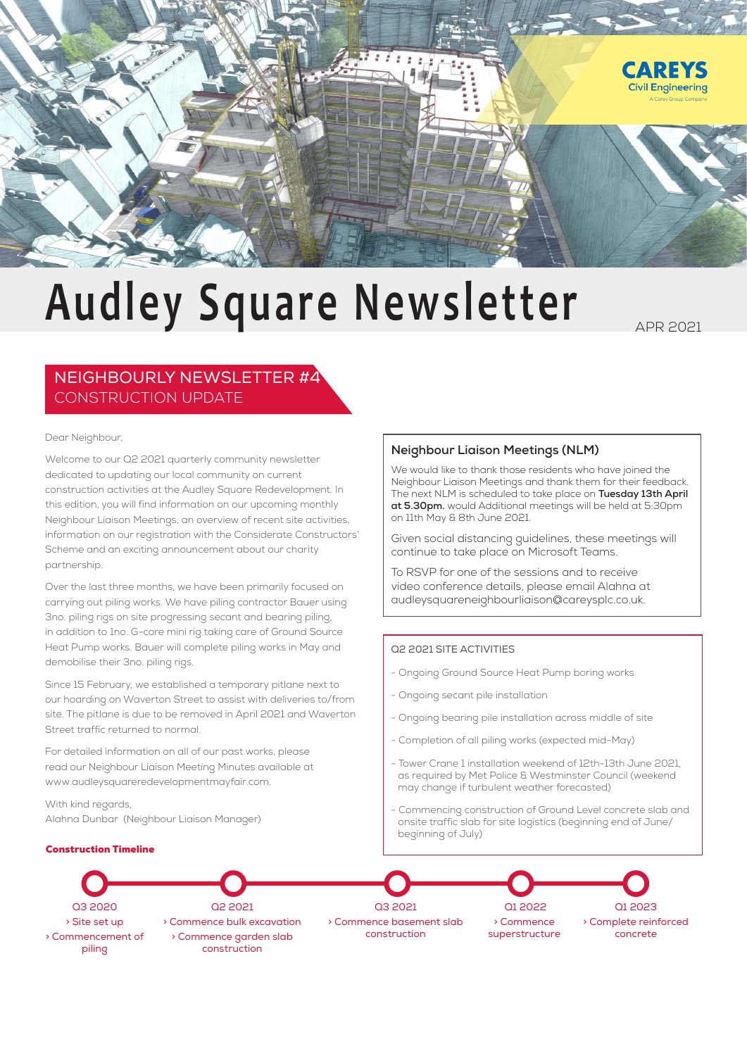

# **Audley Square Newsletter**

APR 2021

# NEIGHBOURLY NEWSLETTER #4 CONSTRUCTION UPDATE

#### Dear Neighbour,

Welcome to our Q2 2021 quarterly community newsletter dedicated to updating our local community on current construction activities at the Audley Square Redevelopment. In this edition, you will find information on our upcoming monthly Neighbour Liaison Meetings, an overview of recent site activities, information on our registration with the Considerate Constructors' Scheme and an exciting announcement about our charity partnership.

Over the last three months, we have been primarily focused on carrying out piling works. We have piling contractor Bauer using 3no. piling rigs on site progressing secant and bearing piling, in addition to 1no. G-core mini rig taking care of Ground Source Heat Pump works. Bauer will complete piling works in May and demobilise their 3no. piling rigs.

Since 15 February, we established a temporary pitlane next to our hoarding on Waverton Street to assist with deliveries to/from site. The pitlane is due to be removed in April 2021 and Waverton Street traffic returned to normal.

For detailed information on all of our past works, please read our Neighbour Liaison Meeting Minutes available at www.audleysquareredevelopmentmayfair.com.

With kind regards, Alahna Dunbar (Neighbour Liaison Manager)

### Construction Timeline

### **Neighbour Liaison Meetings (NLM)**

We would like to thank those residents who have joined the Neighbour Liaison Meetings and thank them for their feedback. The next NLM is scheduled to take place on **Tuesday 13th April at 5.30pm.** would Additional meetings will be held at 5:30pm on 11th May & 8th June 2021.

Given social distancing guidelines, these meetings will continue to take place on Microsoft Teams.

To RSVP for one of the sessions and to receive video conference details, please email Alahna at audleysquareneighbourliaison@careysplc.co.uk.

#### Q2 2021 SITE ACTIVITIES

- Ongoing Ground Source Heat Pump boring works
- Ongoing secant pile installation
- Ongoing bearing pile installation across middle of site
- Completion of all piling works (expected mid-May)
- Tower Crane 1 installation weekend of 12th-13th June 2021, as required by Met Police & Westminster Council (weekend may change if turbulent weather forecasted)
- Commencing construction of Ground Level concrete slab and onsite traffic slab for site logistics (beginning end of June/ beginning of July)